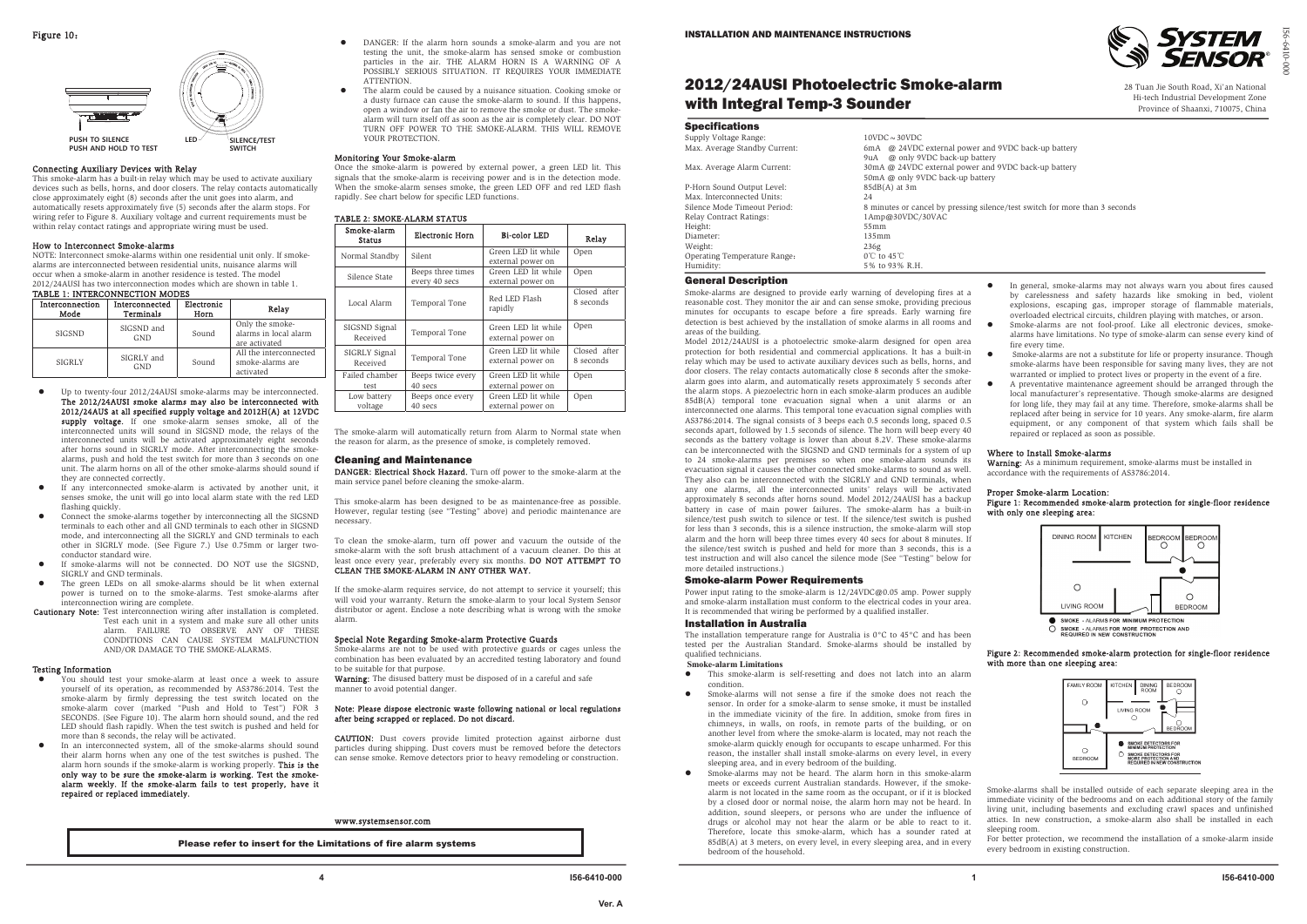## 2012/24AUSI Photoelectric Smoke-alarm with Integral Temp-3 Sounder

### **Specifications** Supp

| Supply Voltage Range:         | $10VDC \sim 30VDC$                     |
|-------------------------------|----------------------------------------|
| Max. Average Standby Current: | 6mA @ 24VDC external power and         |
|                               | 9uA @ only 9VDC back-up battery        |
| Max. Average Alarm Current:   | 30mA @ 24VDC external power and        |
|                               | 50mA @ only 9VDC back-up battery       |
| P-Horn Sound Output Level:    | $85dB(A)$ at 3m                        |
| Max. Interconnected Units:    | 24                                     |
| Silence Mode Timeout Period:  | 8 minutes or cancel by pressing sileno |
| Relay Contract Ratings:       | 1Amp@30VDC/30VAC                       |
| Height:                       | 55mm                                   |
| Diameter:                     | 135mm                                  |
| Weight:                       | 236g                                   |
| Operating Temperature Range:  | $0^{\circ}$ C to 45 $^{\circ}$ C       |
| Humidity:                     | 5% to 93% R.H.                         |

Model 2012/24AUSI is a photoelectric smoke-alarm designed for open area fire every time. protection for both residential and commercial applications. It has a built-in Smoke-alarms are not a substitute for life or property insurance. Though relay which may be used to activate auxiliary devices such as bells, horns, and door closers. The relay contacts automatically close 8 seconds after the smokealarm goes into alarm, and automatically resets approximately 5 seconds after o the alarm stops. A piezoelectric horn in each smoke-alarm produces an audible 85dB(A) temporal tone evacuation signal when a unit alarms or an interconnected one alarms. This temporal tone evacuation signal complies with AS3786:2014. The signal consists of 3 beeps each 0.5 seconds long, spaced 0.5 seconds apart, followed by 1.5 seconds of silence. The horn will beep every 40 repaired or replaced as soon as possible. seconds as the battery voltage is lower than about 8.2V. These smoke-alarms can be interconnected with the SIGSND and GND terminals for a system of up Where to Install Smoke-alarms to 24 smoke-alarms per premises so when one smoke-alarm sounds its Warning: As a minimum requirement, smoke-alarms must be installed in evacuation signal it causes the other connected smoke-alarms to sound as well. accordance with the requirements of AS3786:2014. They also can be interconnected with the SIGRLY and GND terminals, when any one alarms, all the interconnected units' relays will be activated Proper Smoke-alarm Location: approximately 8 seconds after horns sound. Model 2012/24AUSI has a backup battery in case of main power failures. The smoke-alarm has a built-in with only one sleeping area: silence/test push switch to silence or test. If the silence/test switch is pushed for less than 3 seconds, this is a silence instruction, the smoke-alarm will stop KITCHEN DINING ROOM alarm and the horn will beep three times every 40 secs for about 8 minutes. If **FDROOM EDROO!** ົດ õ the silence/test switch is pushed and held for more than 3 seconds, this is a test instruction and will also cancel the silence mode (See ''Testing'' below for more detailed instructions.)  $\bullet$ 

### General Description

Smoke-alarms are designed to provide early warning of developing fires at a reasonable cost. They monitor the air and can sense smoke, providing precious minutes for occupants to escape before a fire spreads. Early warning fire detection is best achieved by the installation of smoke alarms in all rooms and areas of the building.

- o This smoke-alarm is self-resetting and does not latch into an alarm condition.
- o Smoke-alarms will not sense a fire if the smoke does not reach the sensor. In order for a smoke-alarm to sense smoke, it must be installed in the immediate vicinity of the fire. In addition, smoke from fires in chimneys, in walls, on roofs, in remote parts of the building, or on another level from where the smoke-alarm is located, may not reach the smoke-alarm quickly enough for occupants to escape unharmed. For this reason, the installer shall install smoke-alarms on every level, in every sleeping area, and in every bedroom of the building.
- o Smoke-alarms may not be heard. The alarm horn in this smoke-alarm meets or exceeds current Australian standards. However, if the smokealarm is not located in the same room as the occupant, or if it is blocked by a closed door or normal noise, the alarm horn may not be heard. In addition, sound sleepers, or persons who are under the influence of drugs or alcohol may not hear the alarm or be able to react to it. Therefore, locate this smoke-alarm, which has a sounder rated at 85dB(A) at 3 meters, on every level, in every sleeping area, and in every bedroom of the household.
- o In general, smoke-alarms may not always warn you about fires caused by carelessness and safety hazards like smoking in bed, violent explosions, escaping gas, improper storage of flammable materials, overloaded electrical circuits, children playing with matches, or arson.
- o Smoke-alarms are not fool-proof. Like all electronic devices, smokealarms have limitations. No type of smoke-alarm can sense every kind of
- smoke-alarms have been responsible for saving many lives, they are not warranted or implied to protect lives or property in the event of a fire.
- A preventative maintenance agreement should be arranged through the local manufacturer's representative. Though smoke-alarms are designed for long life, they may fail at any time. Therefore, smoke-alarms shall be replaced after being in service for 10 years. Any smoke-alarm, fire alarm equipment, or any component of that system which fails shall be

### Smoke-alarm Power Requirements

Power input rating to the smoke-alarm is 12/24VDC@0.05 amp. Power supply and smoke-alarm installation must conform to the electrical codes in your area. It is recommended that wiring be performed by a qualified installer.

### Installation in Australia

The installation temperature range for Australia is 0°C to 45°C and has been tested per the Australian Standard. Smoke-alarms should be installed by qualified technicians.

### **Smoke-alarm Limitations**

# Figure 1: Recom mended smoke-alarm protection for single-floor residence



### Figure 2: Recom mended smoke-alarm protection for single-floor residence with more than one sleeping area:



Smoke-alarms shall be installed outside of each separate sleeping area in the immediate vicinity of the bedrooms and on each additional story of the family living unit, including basements and excluding crawl spaces and unfinished attics. In new construction, a smoke-alarm also shall be installed in each sleeping room.

For better protection, we recommend the installation of a smoke-alarm inside every bedroom in existing construction.

Smoke-alarms are not to be used with protective guards or cages unless the combination has been evaluated by an accredited testing laboratory and found to be suitable for that purpose. Warning: The disused battery must be disposed of in a careful and safe

and 9VDC back-up battery and 9VDC back-up battery

silence/test switch for more than 3 seconds

I56-6410-000

**,**







### Connecting Auxiliary Devices with Relay

This smoke-alarm has a built-in relay which may be used to activate auxiliary devices such as bells, horns, and door closers. The relay contacts automatically close approximately eight (8) seconds after the unit goes into alarm, and automatically resets approximately five (5) seconds after the alarm stops. For wiring refer to Figure 8. Auxiliary voltage and current requirements must be within relay contact ratings and appropriate wiring must be used.

### How to Interconnect Smoke-alarms

NOTE: Interconnect smoke-alarms within one residential unit only. If smokealarms are interconnected between residential units, nuisance alarms will occur when a smoke-alarm in another residence is tested. The model 2012/24AUSI has two interconnection modes which are shown in table 1.

### TABLE 1: INTERCONNECTION MODES

| Interconnection<br>Mode | Interconnected<br>Terminals | Electronic<br>Horn | Relay                                                     |
|-------------------------|-----------------------------|--------------------|-----------------------------------------------------------|
| <b>SIGSND</b>           | SIGSND and<br><b>GND</b>    | Sound              | Only the smoke-<br>alarms in local alarm<br>are activated |
| <b>SIGRLY</b>           | SIGRLY and<br><b>GND</b>    | Sound              | All the interconnected<br>smoke-alarms are<br>activated   |

- z Up to twenty-four 2012/24AUSI smoke-alarms may be interconnected. The 2012/24A USI smoke alarms may also be interconnected with 2012/24A US at all specified supply voltage and 2012H(A) at 12V DC supply voltage. If one smoke-alarm senses smoke, all of the interconnected units will sound in SIGSND mode, the relays of the interconnected units will be activated approximately eight seconds after horns sound in SIGRLY mode. After interconnecting the smokealarms, push and hold the test switch for more than 3 seconds on one unit. The alarm horns on all of the other smoke-alarms should sound if they are connected correctly.
- z If any interconnected smoke-alarm is activated by another unit, it senses smoke, the unit will go into local alarm state with the red LED flashing quickly.
- o Connect the smoke-alarms together by interconnecting all the SIGSND terminals to each other and all GND terminals to each other in SIGSND mode, and interconnecting all the SIGRLY and GND terminals to each other in SIGRLY mode. (See Figure 7.) Use 0.75mm or larger twoconductor standard wire.
- o If smoke-alarms will not be connected. DO NOT use the SIGSND, SIGRLY and GND terminals.
- z The green LEDs on all smoke-alarms should be lit when external power is turned on to the smoke-alarms. Test smoke-alarms after interconnection wiring are complete.
- Cautionary Note: Test interconnection wiring after installation is completed. Test each unit in a system and make sure all other units alarm. FAILURE TO OBSERVE ANY OF THESE CONDITIONS CAN CAUSE SYSTEM MALFUNCTION AND/OR DAMAGE TO THE SMOKE-ALARMS.

### Testing Information

- z You should test your smoke-alarm at least once a week to assure yourself of its operation, as recommended by AS3786:2014. Test the smoke-alarm by firmly depressing the test switch located on the smoke-alarm cover (marked "Push and Hold to Test") FOR 3 SECONDS. (See Figure 10). The alarm horn should sound, and the red LED should flash rapidly. When the test switch is pushed and held for more than 8 seconds, the relay will be activated.
- z In an interconnected system, all of the smoke-alarms should sound their alarm horns when any one of the test switches is pushed. The alarm horn sounds if the smoke-alarm is working properly. This is the only way to be sure the smoke-alarm is working. Test the smokealarm weekly. If the smoke-alarm fails to test properly, have it repaired or replaced im mediately.
- $\bullet$  DANGER: If the alarm horn sounds a smoke-alarm and you are not testing the unit, the smoke-alarm has sensed smoke or combustion particles in the air. THE ALARM HORN IS A WARNING OF A POSSIBLY SERIOUS SITUATION. IT REQUIRES YOUR IMMEDIATE **ATTENTION**
- $\bullet$  The alarm could be caused by a nuisance situation. Cooking smoke or a dusty furnace can cause the smoke-alarm to sound. If this happens, open a window or fan the air to remove the smoke or dust. The smokealarm will turn itself off as soon as the air is completely clear. DO NOT TURN OFF POWER TO THE SMOKE-ALARM. THIS WILL REMOVE YOUR PROTECTION.

### Monitoring Your Smoke-alarm

Once the smoke-alarm is powered by external power, a green LED lit. This signals that the smoke-alarm is receiving power and is in the detection mode. When the smoke-alarm senses smoke, the green LED OFF and red LED flash rapidly. See chart below for specific LED functions.

### TABLE 2: SMOKE-ALARM STATUS

| Smoke-alarm<br><b>Status</b> | <b>Electronic Horn</b>             | <b>Bi-color LED</b>                      | Relay                     |
|------------------------------|------------------------------------|------------------------------------------|---------------------------|
| Normal Standby               | Silent                             | Green LED lit while<br>external power on | Open                      |
| Silence State                | Beeps three times<br>every 40 secs | Green LED lit while<br>external power on | Open                      |
| Local Alarm                  | Temporal Tone                      | Red LED Flash<br>rapidly                 | Closed after<br>8 seconds |
| SIGSND Signal<br>Received    | Temporal Tone                      | Green LED lit while<br>external power on | Open                      |
| SIGRLY Signal<br>Received    | Temporal Tone                      | Green LED lit while<br>external power on | Closed after<br>8 seconds |
| Failed chamber<br>test       | Beeps twice every<br>40 secs       | Green LED lit while<br>external power on | Open                      |
| Low battery<br>voltage       | Beeps once every<br>40 secs        | Green LED lit while<br>external power on | Open                      |

The smoke-alarm will automatically return from Alarm to Normal state when the reason for alarm, as the presence of smoke, is completely removed.

### Cleaning and Maintenance

DANGER: Electrical Shock Hazard. Turn off power to the smoke-alarm at the main service panel before cleaning the smoke-alarm.

This smoke-alarm has been designed to be as maintenance-free as possible. However, regular testing (see "Testing" above) and periodic maintenance are necessary.

To clean the smoke-alarm, turn off power and vacuum the outside of the smoke-alarm with the soft brush attachment of a vacuum cleaner. Do this at least once every year, preferably every six months. **DO NOT ATTEMPT TO** CLEAN THE SMOKE-ALARM IN ANY OTHER WAY.

If the smoke-alarm requires service, do not attempt to service it yourself; this will void your warranty. Return the smoke-alarm to your local System Sensor distributor or agent. Enclose a note describing what is wrong with the smoke alarm.

### Special Note Regarding Smoke-alarm Protective Guards

manner to avoid potential danger.

### Note: Please dispose electronic waste following national or local regulations after being scrapped or replaced. Do not discard.

CA UTIO N: Dust covers provide limited protection against airborne dust particles during shipping. Dust covers must be removed before the detectors can sense smoke. Remove detectors prior to heavy remodeling or construction.

### w w w.systemsensor.com

Please refer to insert for the Limitations of fire alarm systems